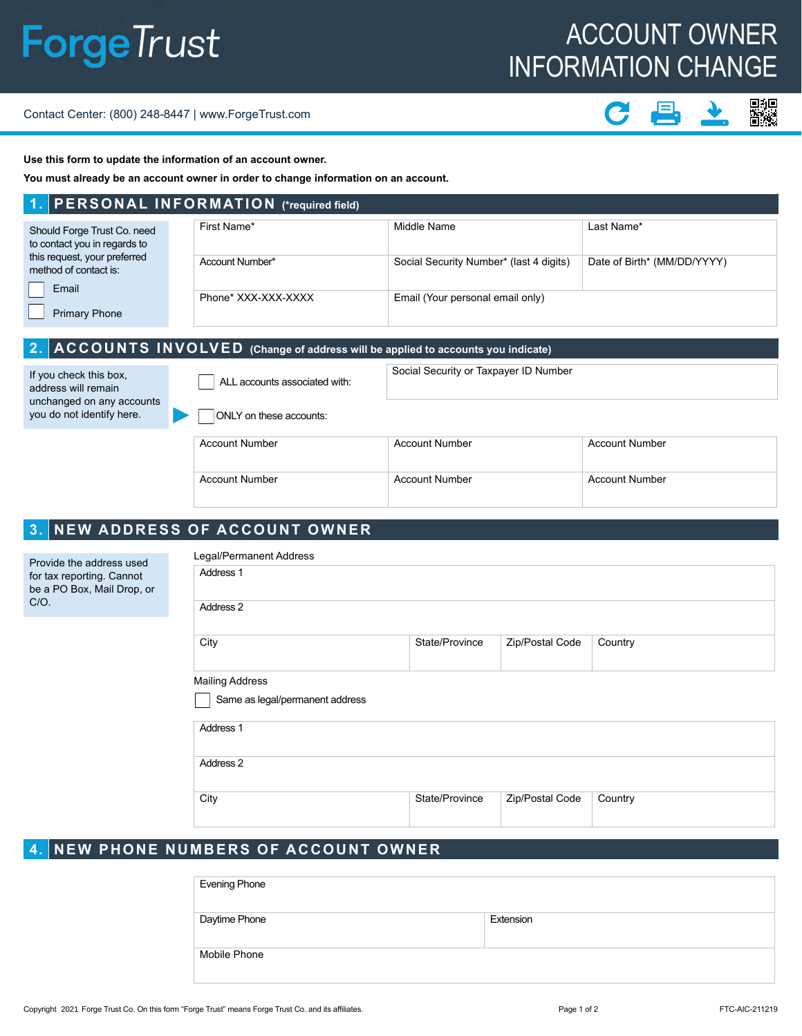# **ForgeTrust**

## ACCOUNT OWNER INFORMATION CHANGE

#### Contact Center: (800) 248-8447 | www.ForgeTrust.com

## ■約<br>皆然

**Use this form to update the information of an account owner.**

**You must already be an account owner in order to change information on an account.** 

### **1. PERSONAL INFORMATION (\*required field)**

| Should Forge Trust Co. need<br>to contact you in regards to    | First Name*         | Middle Name                             | Last Name*                  |  |
|----------------------------------------------------------------|---------------------|-----------------------------------------|-----------------------------|--|
| this request, your preferred<br>method of contact is:<br>Email | Account Number*     | Social Security Number* (last 4 digits) | Date of Birth* (MM/DD/YYYY) |  |
| <b>Primary Phone</b>                                           | Phone* XXX-XXX-XXXX | Email (Your personal email only)        |                             |  |

#### **2. ACCOUNTS INVOLVED (Change of address will be applied to accounts you indicate)** ALL accounts associated with: Social Security or Taxpayer ID Number If you check this box, address will remain

unchanged on any accounts you do not identify here.

ONLY on these accounts:

| <b>Account Number</b> | <b>Account Number</b> | <b>Account Number</b> |
|-----------------------|-----------------------|-----------------------|
| Account Number        | Account Number        | <b>Account Number</b> |

## **3. NEW ADDRESS OF ACCOUNT OWNER**

| Provide the address used<br>for tax reporting. Cannot<br>be a PO Box, Mail Drop, or<br>C/O. | Legal/Permanent Address         |                |                 |         |  |
|---------------------------------------------------------------------------------------------|---------------------------------|----------------|-----------------|---------|--|
|                                                                                             | Address 1                       |                |                 |         |  |
|                                                                                             | Address 2                       |                |                 |         |  |
|                                                                                             | City                            | State/Province | Zip/Postal Code | Country |  |
|                                                                                             | <b>Mailing Address</b>          |                |                 |         |  |
|                                                                                             | Same as legal/permanent address |                |                 |         |  |
|                                                                                             | Address 1                       |                |                 |         |  |
|                                                                                             | Address 2                       |                |                 |         |  |

City City State/Province Zip/Postal Code Country

## **4. NEW PHONE NUMBERS OF ACCOUNT OWNER**

| <b>Evening Phone</b> |           |
|----------------------|-----------|
| Daytime Phone        | Extension |
| Mobile Phone         |           |